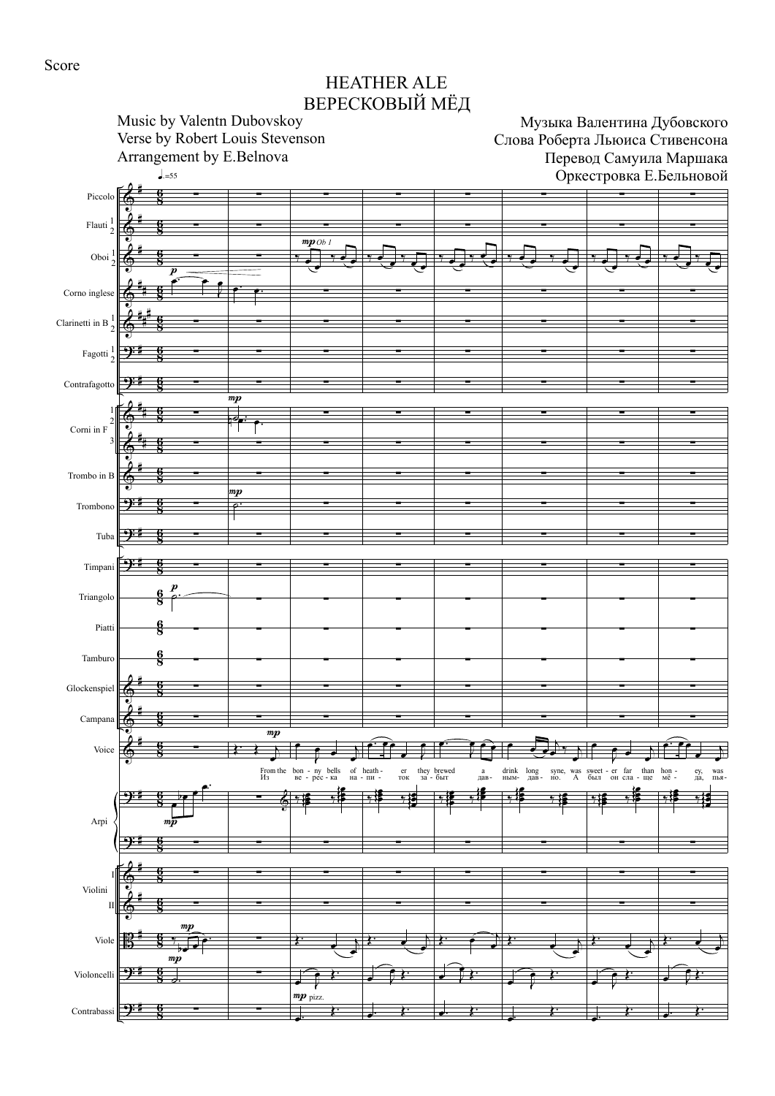Score

## HEATHER ALE ВЕРЕСКОВЫЙ МЁД

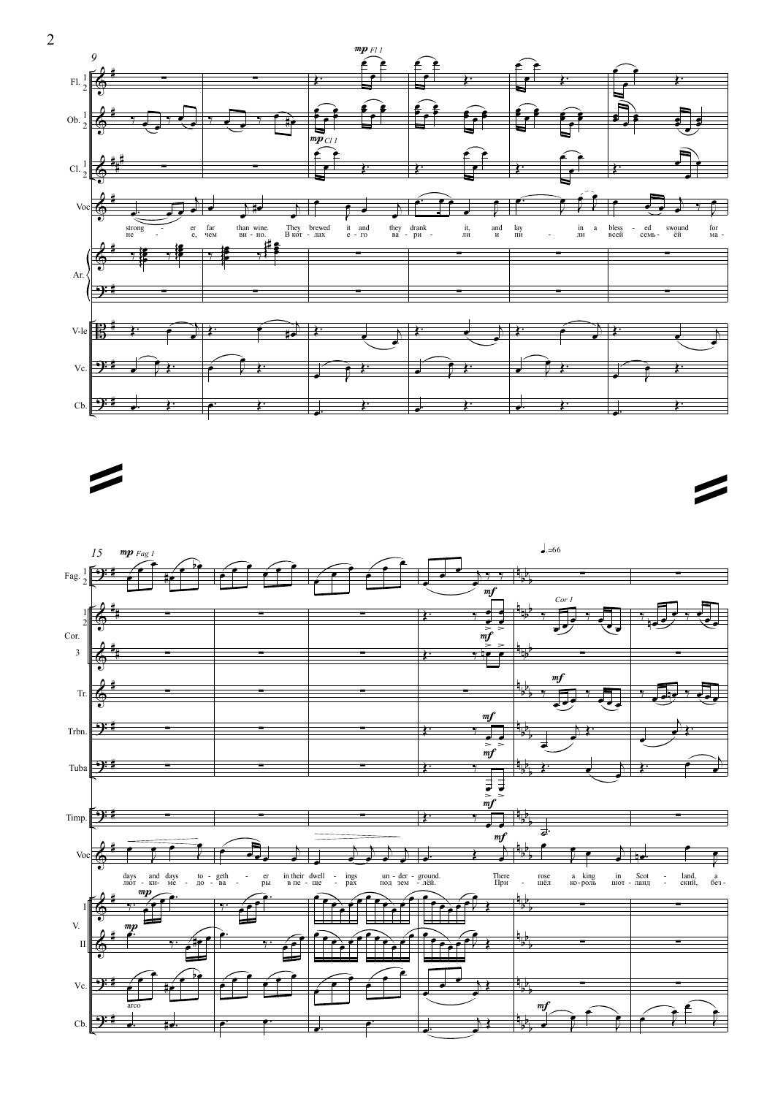

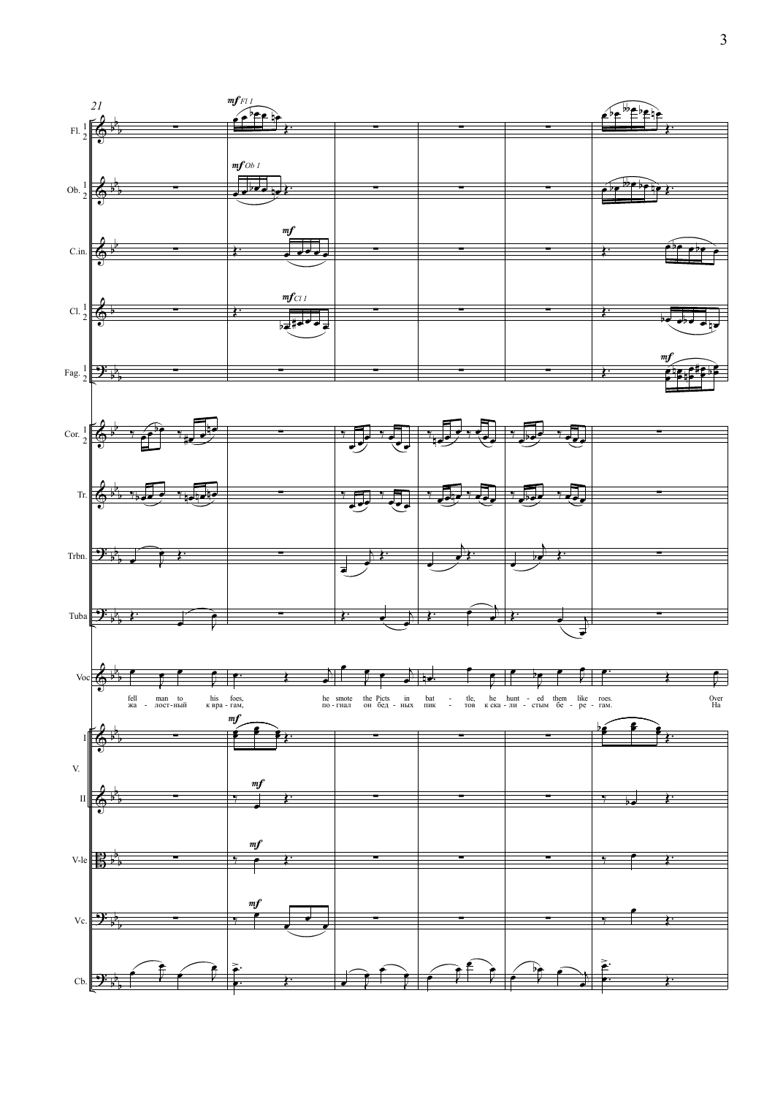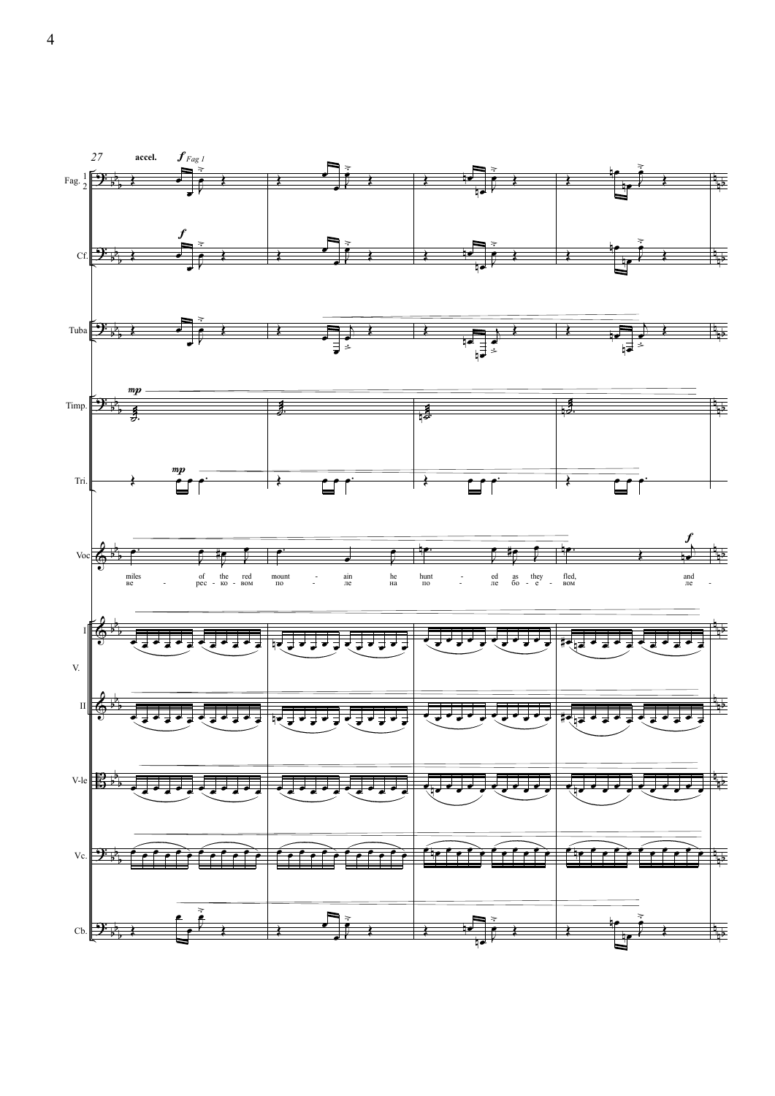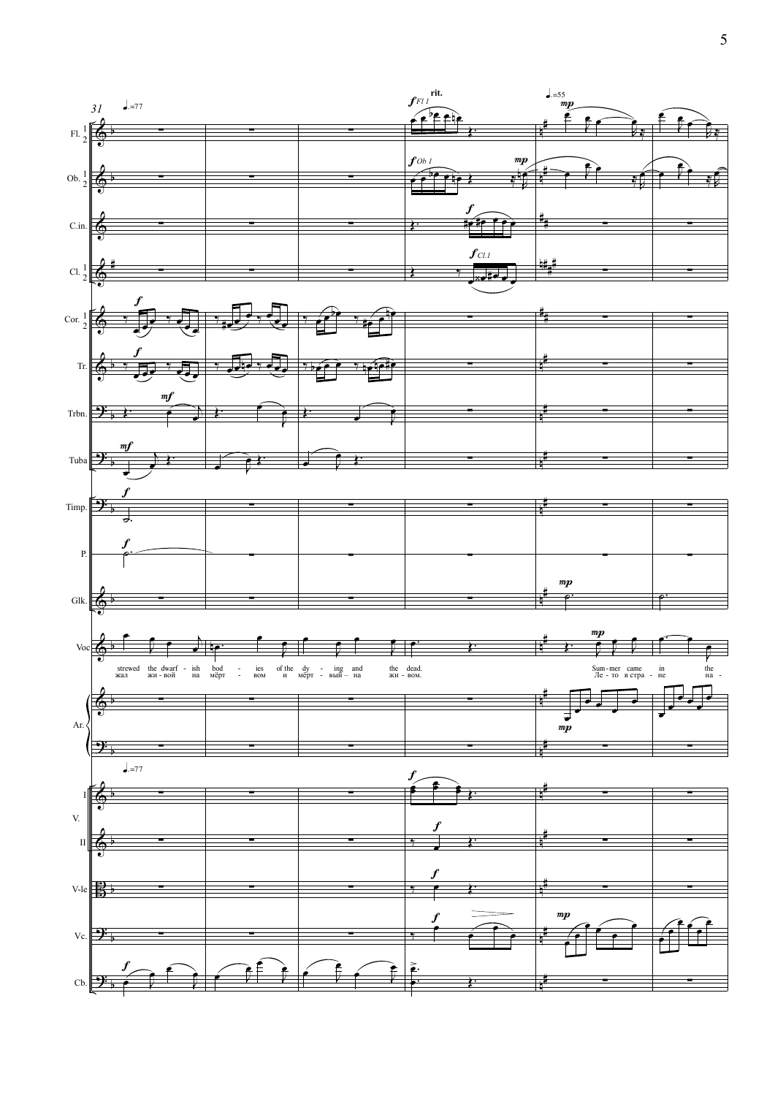

 $\overline{5}$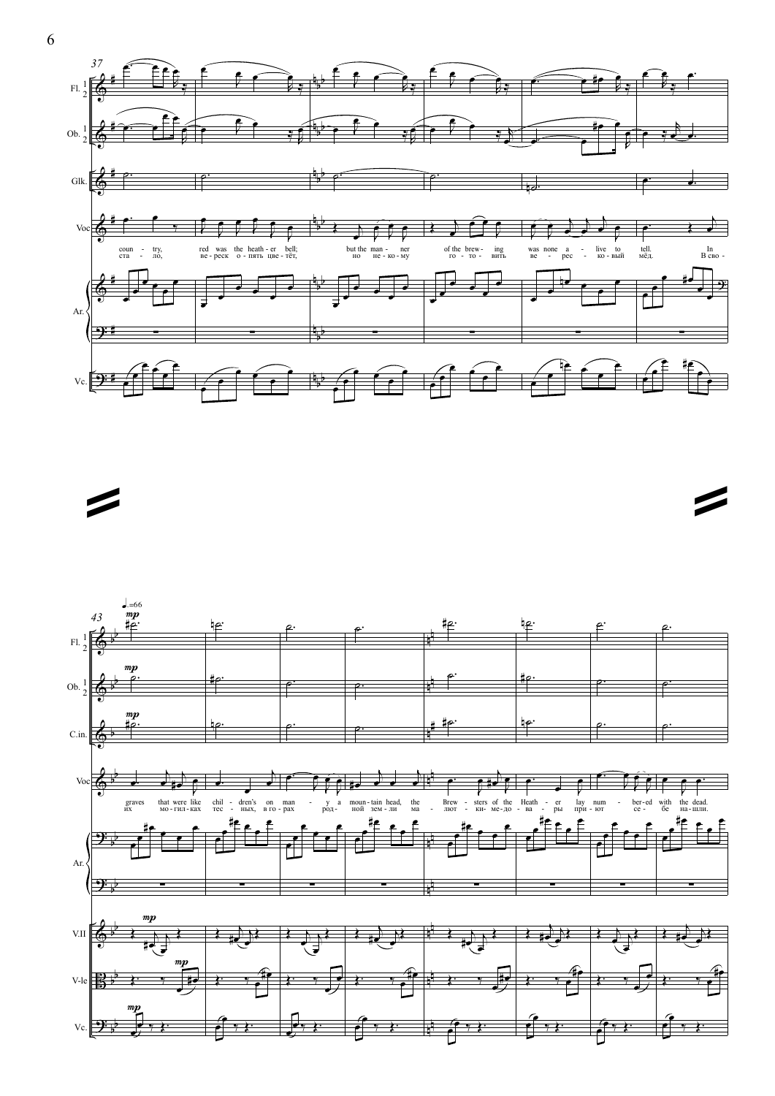



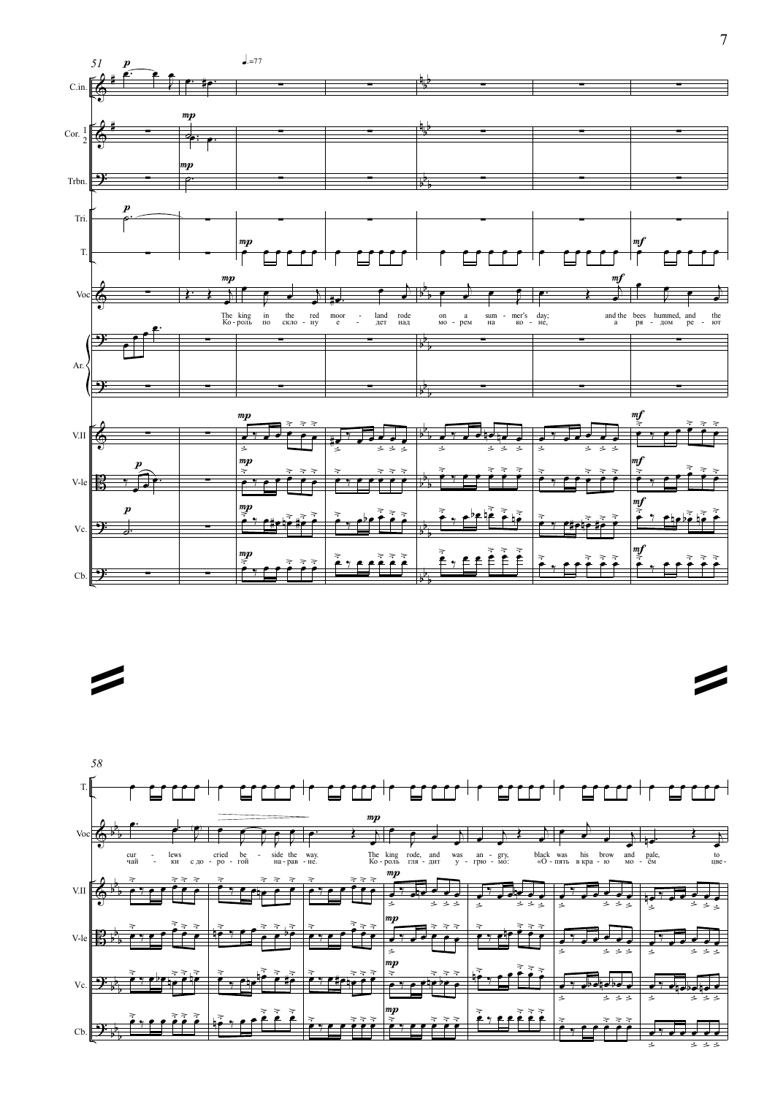

 $\overline{\phantom{a}}$ 



 $\overline{7}$ 

 $\boldsymbol{Z}$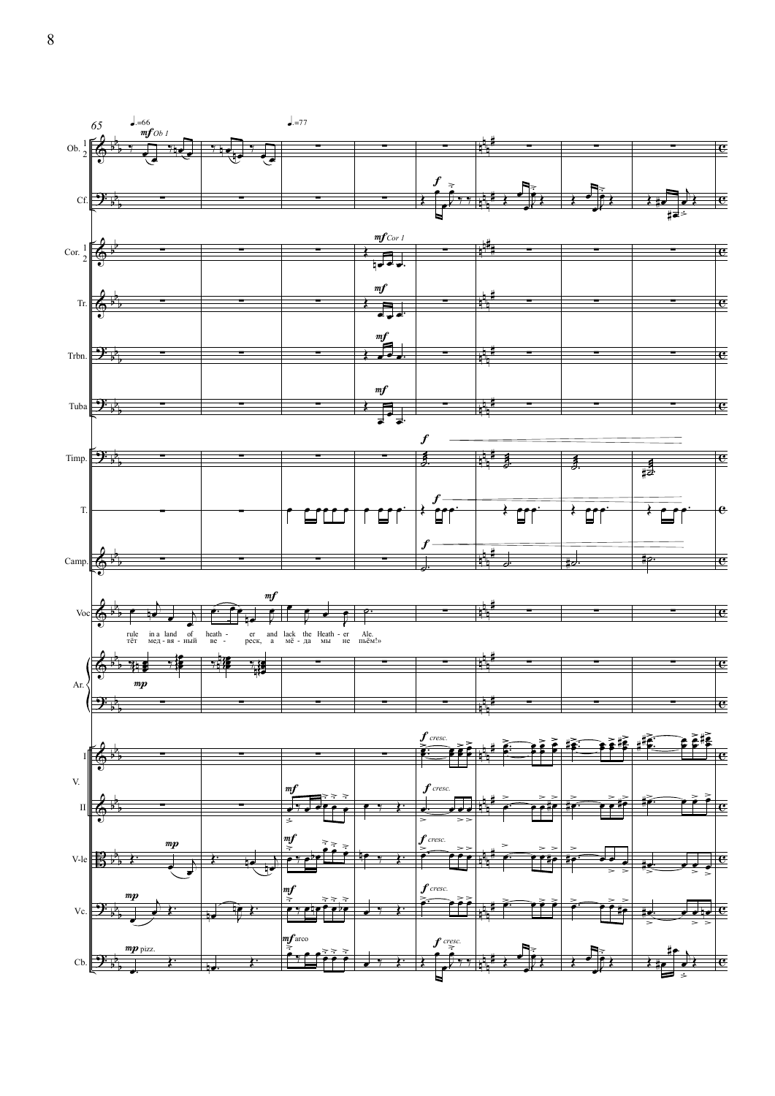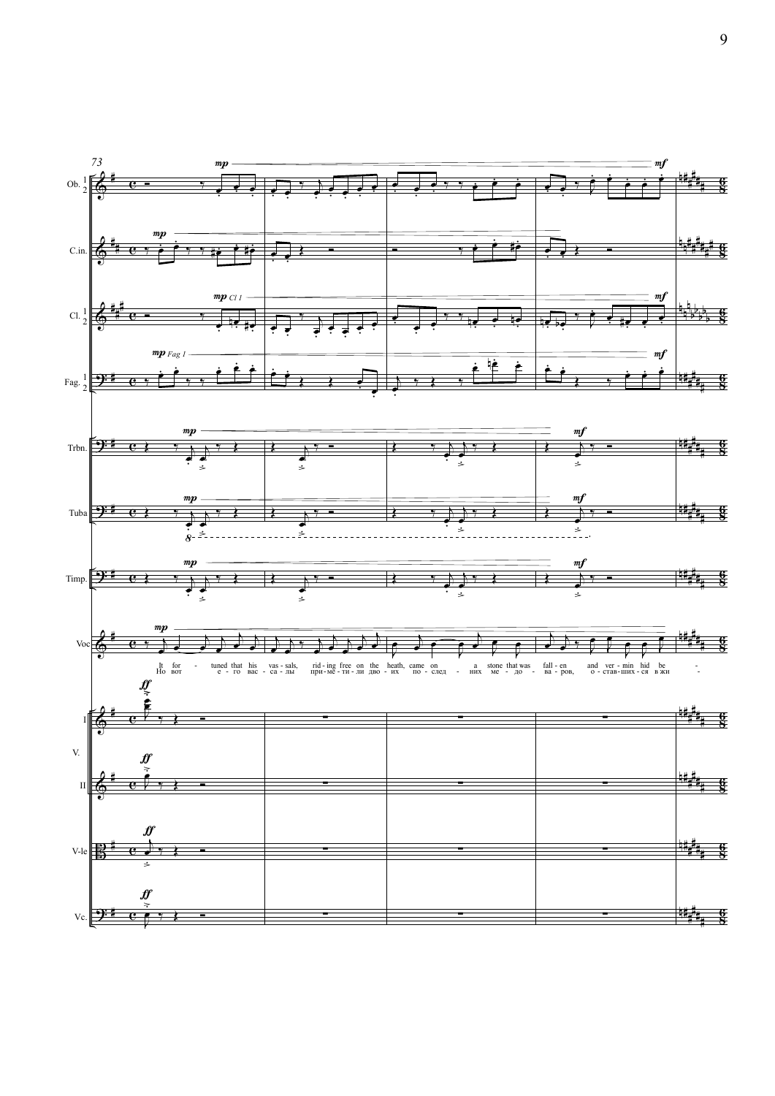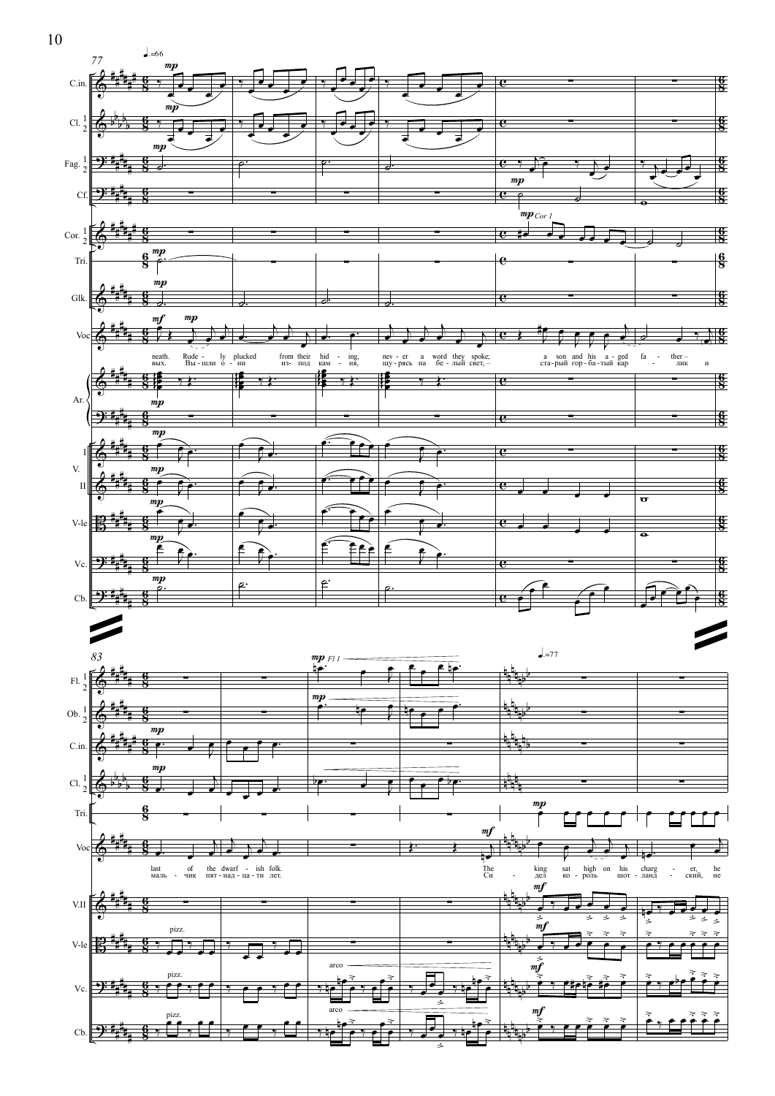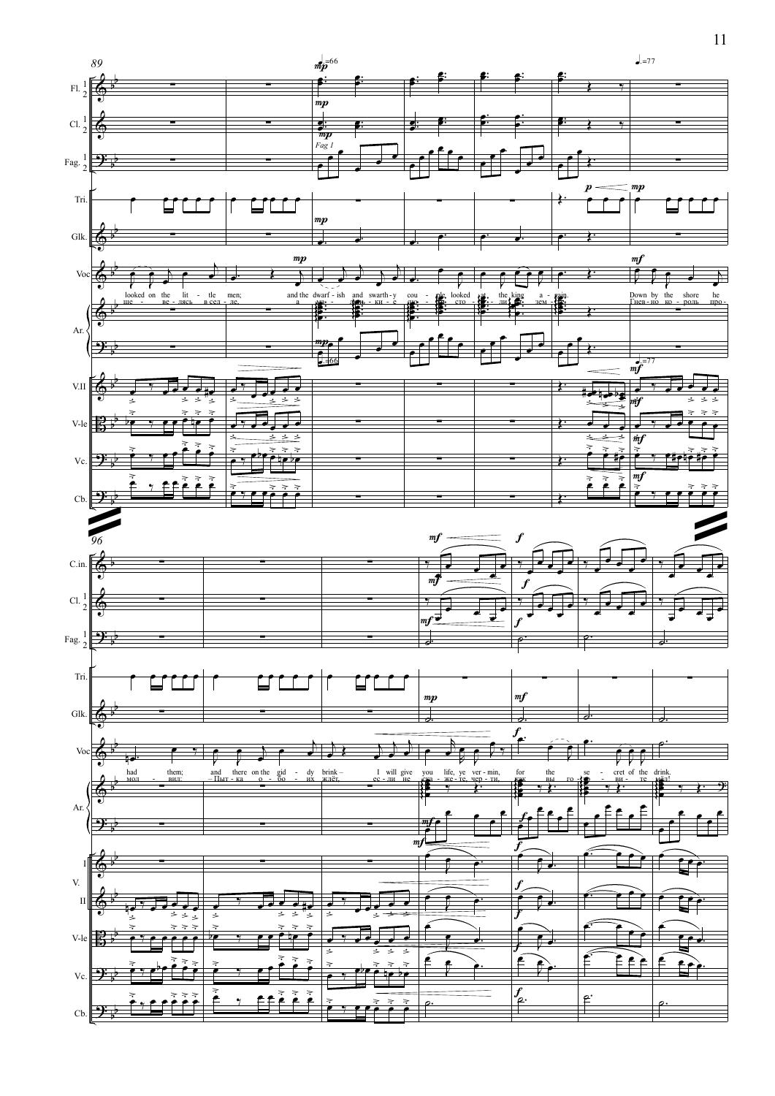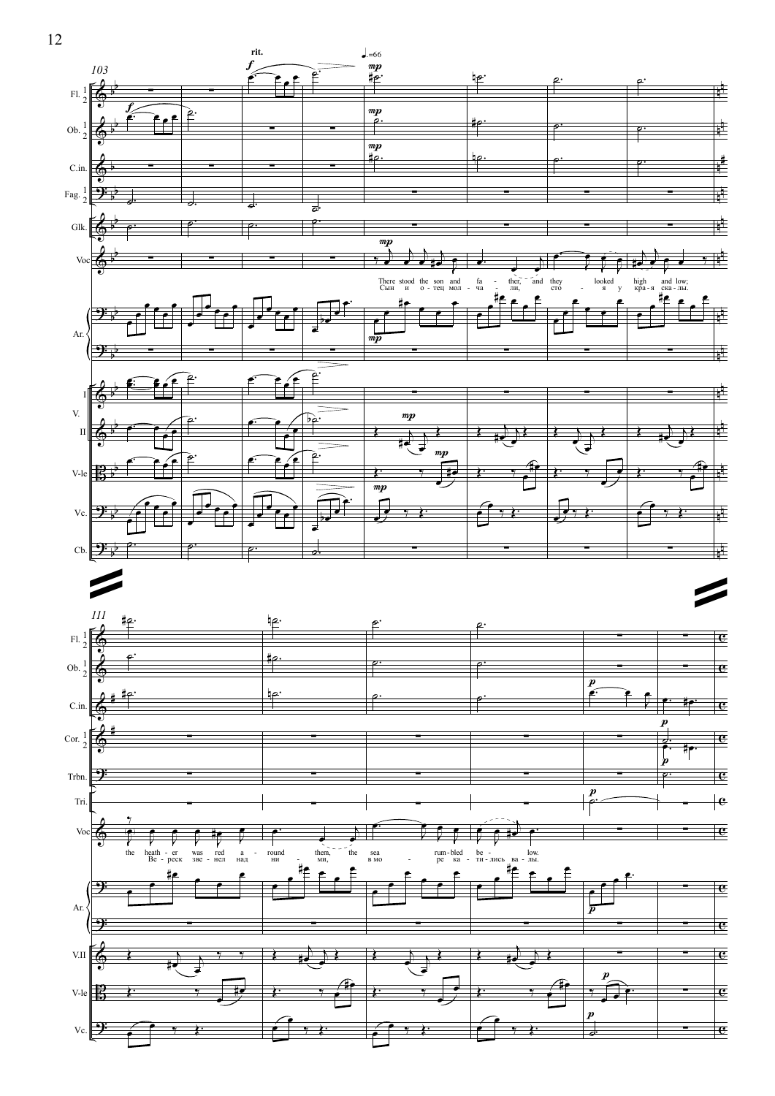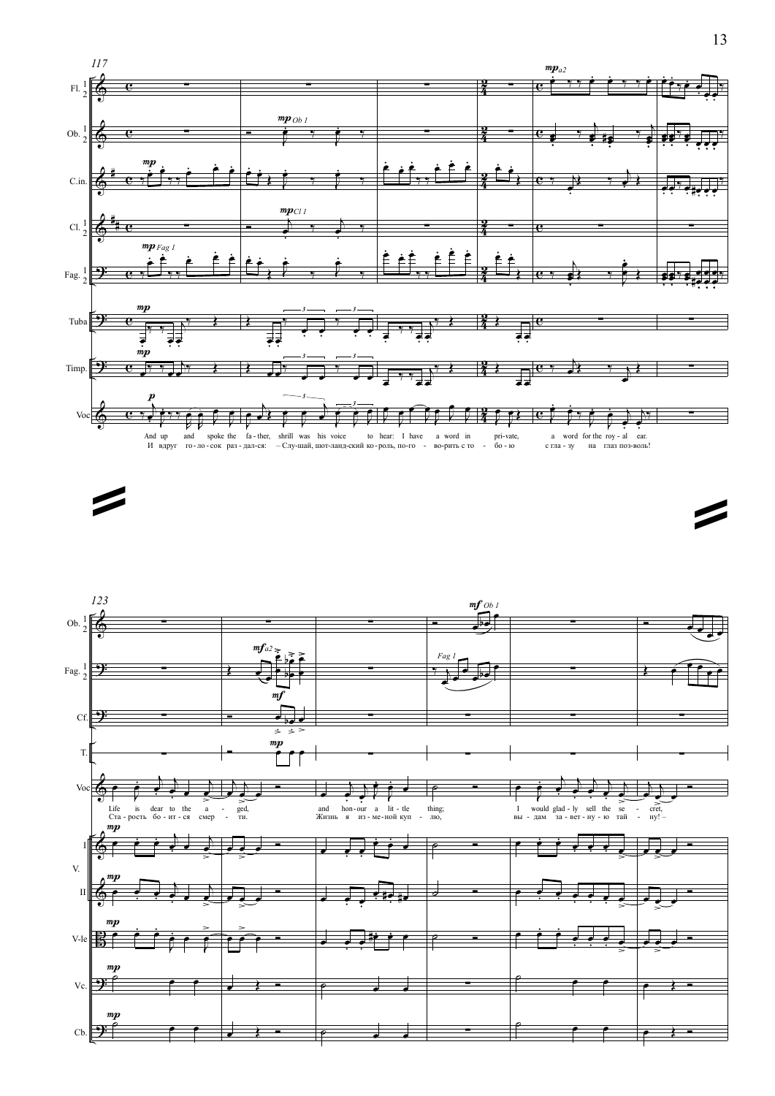





Ź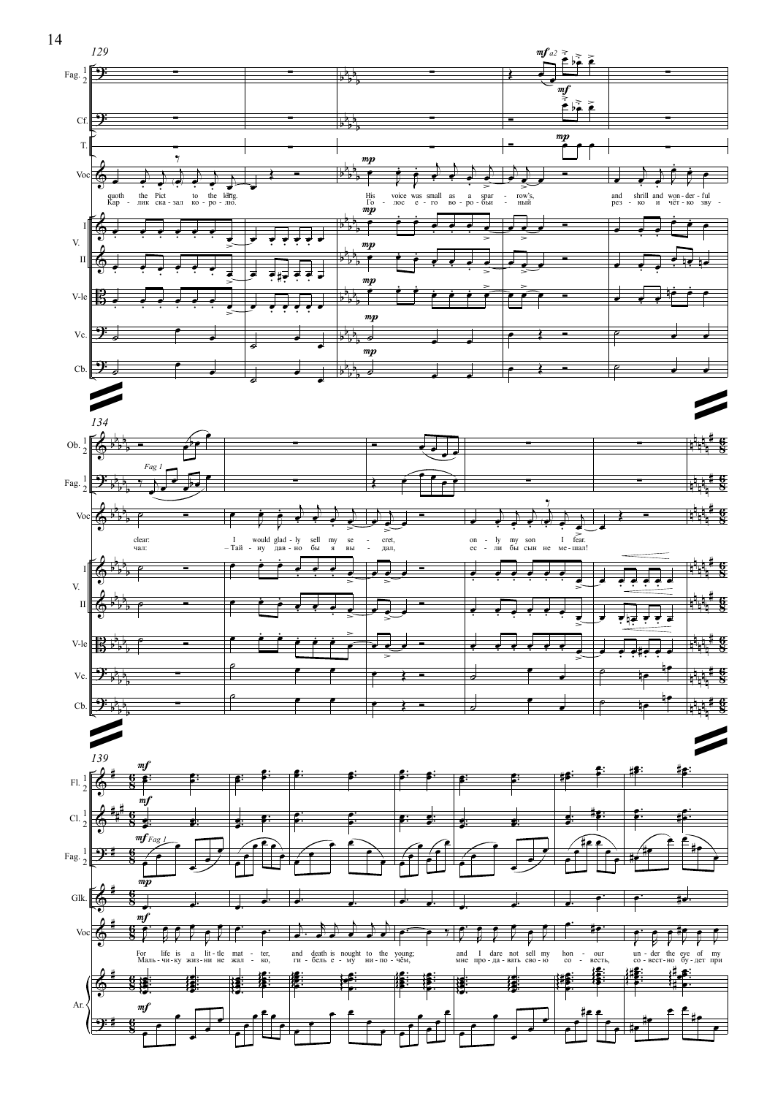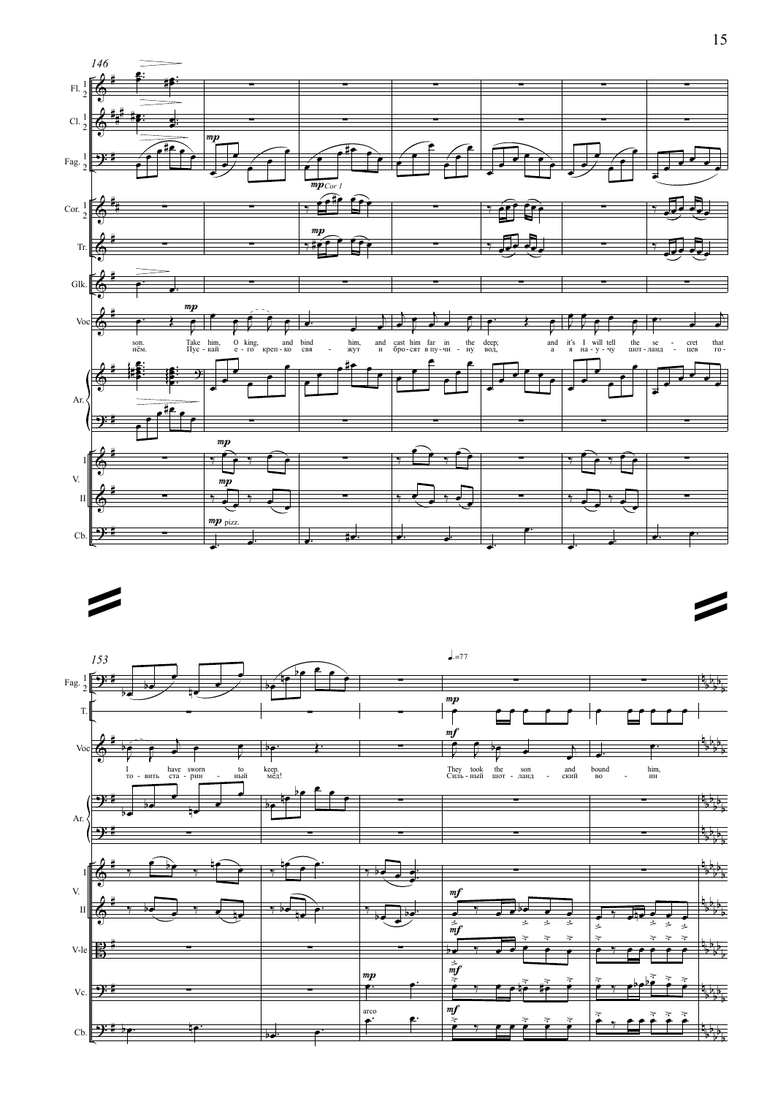

 $\blacktriangleright$ 



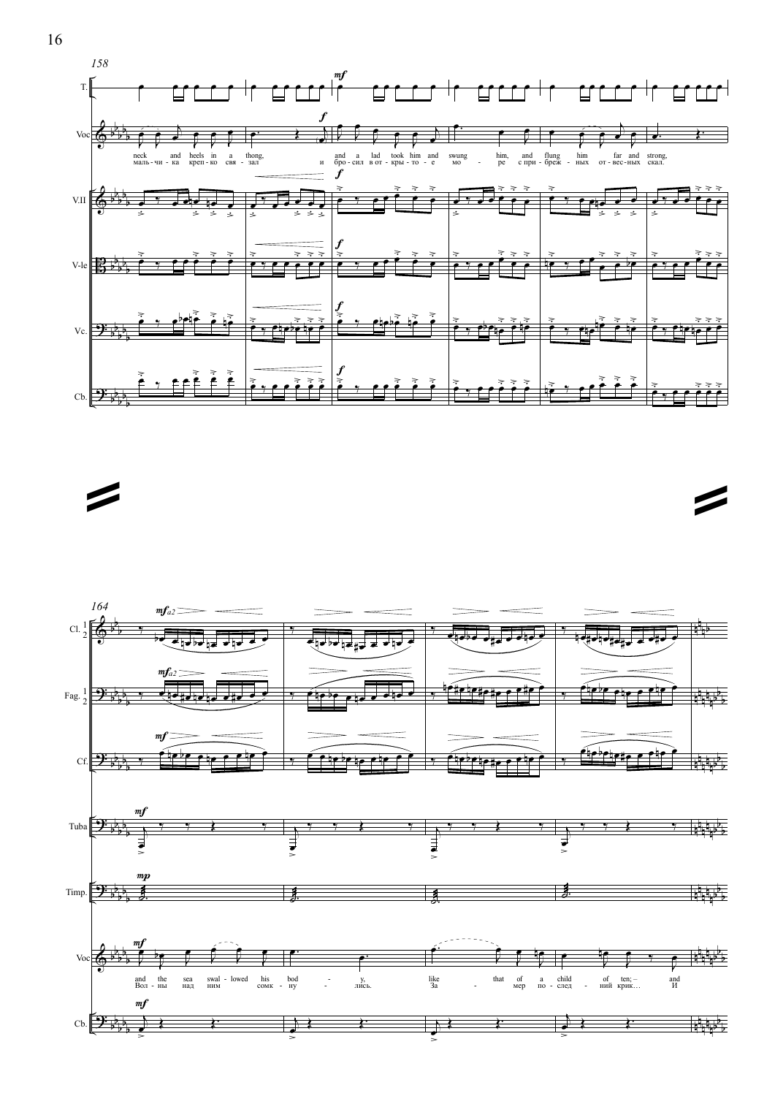



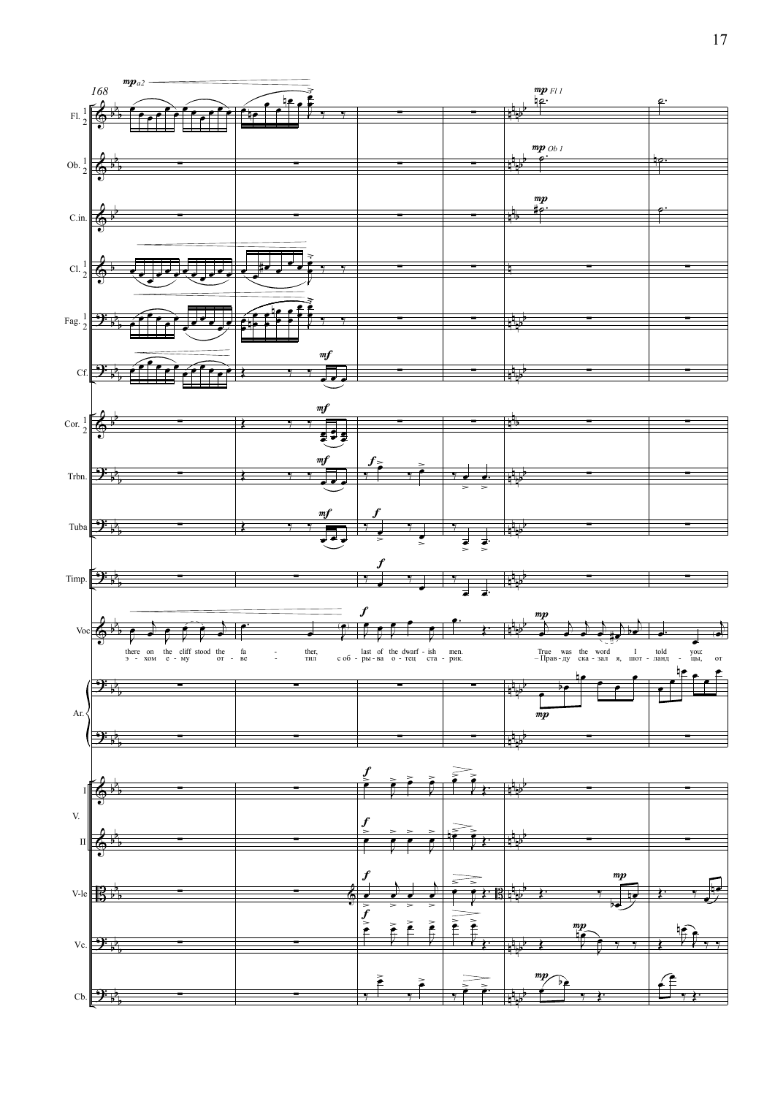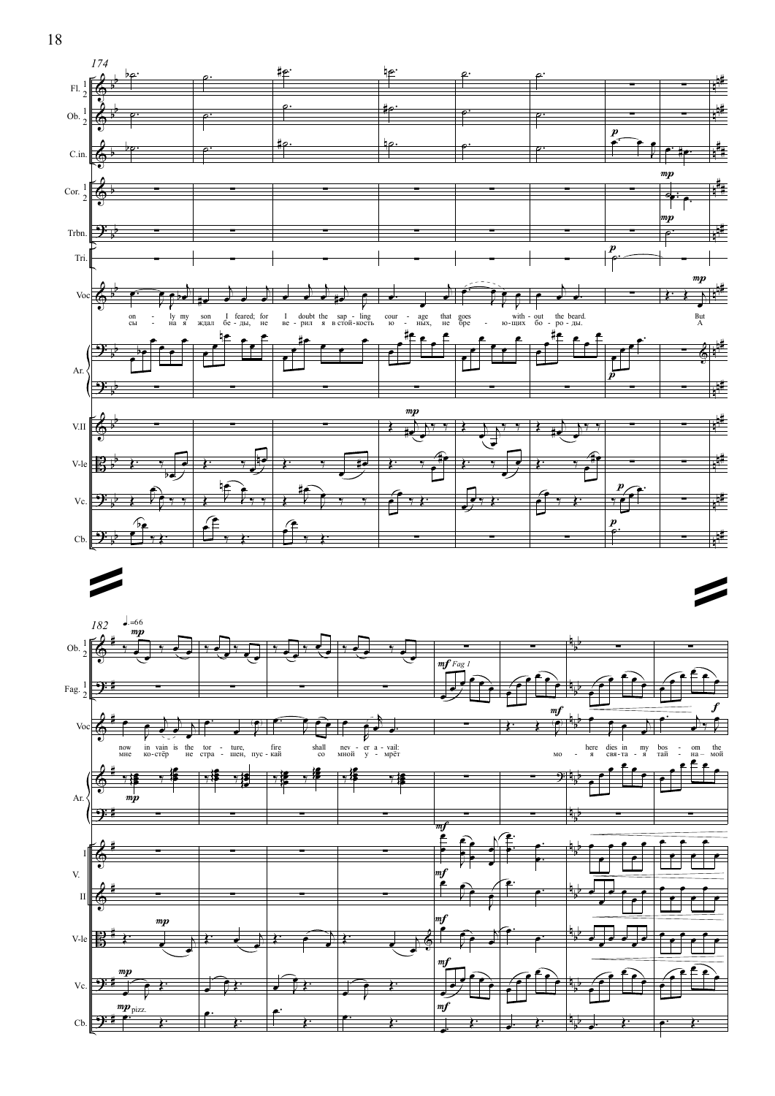